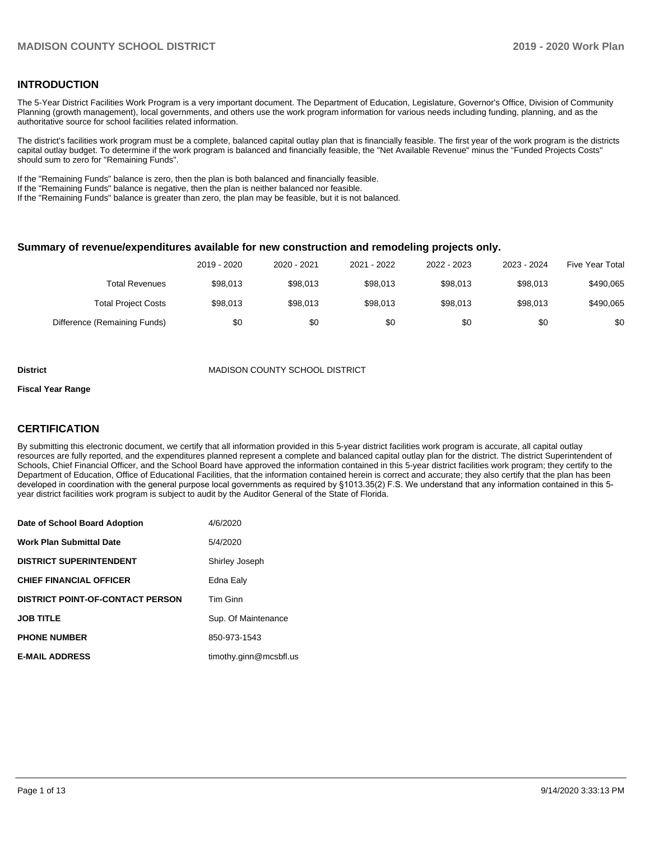#### **INTRODUCTION**

The 5-Year District Facilities Work Program is a very important document. The Department of Education, Legislature, Governor's Office, Division of Community Planning (growth management), local governments, and others use the work program information for various needs including funding, planning, and as the authoritative source for school facilities related information.

The district's facilities work program must be a complete, balanced capital outlay plan that is financially feasible. The first year of the work program is the districts capital outlay budget. To determine if the work program is balanced and financially feasible, the "Net Available Revenue" minus the "Funded Projects Costs" should sum to zero for "Remaining Funds".

If the "Remaining Funds" balance is zero, then the plan is both balanced and financially feasible.

If the "Remaining Funds" balance is negative, then the plan is neither balanced nor feasible.

If the "Remaining Funds" balance is greater than zero, the plan may be feasible, but it is not balanced.

#### **Summary of revenue/expenditures available for new construction and remodeling projects only.**

| Five Year Total | 2023 - 2024 | 2022 - 2023 | 2021 - 2022 | 2020 - 2021 | 2019 - 2020 |                              |
|-----------------|-------------|-------------|-------------|-------------|-------------|------------------------------|
| \$490,065       | \$98,013    | \$98,013    | \$98,013    | \$98,013    | \$98,013    | Total Revenues               |
| \$490,065       | \$98.013    | \$98,013    | \$98,013    | \$98,013    | \$98,013    | <b>Total Project Costs</b>   |
| \$0             | \$0         | \$0         | \$0         | \$0         | \$0         | Difference (Remaining Funds) |

#### **District** MADISON COUNTY SCHOOL DISTRICT

#### **Fiscal Year Range**

#### **CERTIFICATION**

By submitting this electronic document, we certify that all information provided in this 5-year district facilities work program is accurate, all capital outlay resources are fully reported, and the expenditures planned represent a complete and balanced capital outlay plan for the district. The district Superintendent of Schools, Chief Financial Officer, and the School Board have approved the information contained in this 5-year district facilities work program; they certify to the Department of Education, Office of Educational Facilities, that the information contained herein is correct and accurate; they also certify that the plan has been developed in coordination with the general purpose local governments as required by §1013.35(2) F.S. We understand that any information contained in this 5 year district facilities work program is subject to audit by the Auditor General of the State of Florida.

| Date of School Board Adoption           | 4/6/2020               |
|-----------------------------------------|------------------------|
| <b>Work Plan Submittal Date</b>         | 5/4/2020               |
| <b>DISTRICT SUPERINTENDENT</b>          | Shirley Joseph         |
| <b>CHIEF FINANCIAL OFFICER</b>          | Edna Ealy              |
| <b>DISTRICT POINT-OF-CONTACT PERSON</b> | Tim Ginn               |
| <b>JOB TITLE</b>                        | Sup. Of Maintenance    |
| <b>PHONE NUMBER</b>                     | 850-973-1543           |
| <b>E-MAIL ADDRESS</b>                   | timothy.ginn@mcsbfl.us |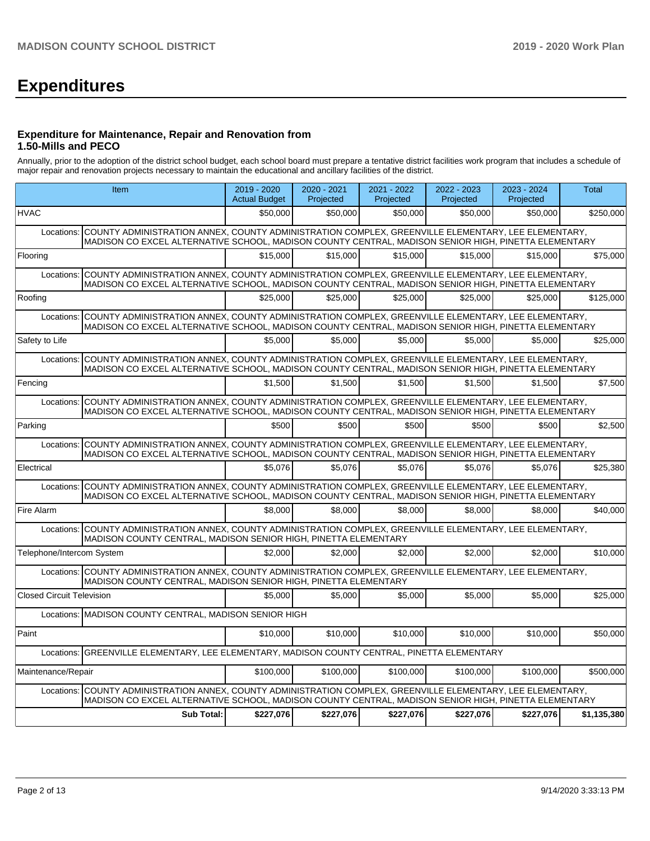# **Expenditures**

#### **Expenditure for Maintenance, Repair and Renovation from 1.50-Mills and PECO**

Annually, prior to the adoption of the district school budget, each school board must prepare a tentative district facilities work program that includes a schedule of major repair and renovation projects necessary to maintain the educational and ancillary facilities of the district.

|                                  | Item                                                                                                                                                                                                                  | 2019 - 2020<br><b>Actual Budget</b> | 2020 - 2021<br>Projected | 2021 - 2022<br>Projected | 2022 - 2023<br>Projected | 2023 - 2024<br>Projected | <b>Total</b> |
|----------------------------------|-----------------------------------------------------------------------------------------------------------------------------------------------------------------------------------------------------------------------|-------------------------------------|--------------------------|--------------------------|--------------------------|--------------------------|--------------|
| <b>HVAC</b>                      |                                                                                                                                                                                                                       | \$50,000                            | \$50,000                 | \$50,000                 | \$50,000                 | \$50,000                 | \$250,000    |
| Locations:                       | COUNTY ADMINISTRATION ANNEX, COUNTY ADMINISTRATION COMPLEX, GREENVILLE ELEMENTARY, LEE ELEMENTARY,<br>MADISON CO EXCEL ALTERNATIVE SCHOOL, MADISON COUNTY CENTRAL, MADISON SENIOR HIGH, PINETTA ELEMENTARY            |                                     |                          |                          |                          |                          |              |
| Flooring                         |                                                                                                                                                                                                                       | \$15,000                            | \$15,000                 | \$15,000                 | \$15,000                 | \$15,000                 | \$75,000     |
| Locations:                       | COUNTY ADMINISTRATION ANNEX, COUNTY ADMINISTRATION COMPLEX, GREENVILLE ELEMENTARY, LEE ELEMENTARY,<br>MADISON CO EXCEL ALTERNATIVE SCHOOL, MADISON COUNTY CENTRAL, MADISON SENIOR HIGH, PINETTA ELEMENTARY            |                                     |                          |                          |                          |                          |              |
| Roofing                          |                                                                                                                                                                                                                       | \$25,000                            | \$25,000                 | \$25,000                 | \$25,000                 | \$25,000                 | \$125.000    |
| Locations:                       | COUNTY ADMINISTRATION ANNEX, COUNTY ADMINISTRATION COMPLEX, GREENVILLE ELEMENTARY, LEE ELEMENTARY,<br>MADISON CO EXCEL ALTERNATIVE SCHOOL, MADISON COUNTY CENTRAL, MADISON SENIOR HIGH, PINETTA ELEMENTARY            |                                     |                          |                          |                          |                          |              |
| Safety to Life                   |                                                                                                                                                                                                                       | \$5.000                             | \$5.000                  | \$5,000                  | \$5.000                  | \$5.000                  | \$25,000     |
| Locations:                       | COUNTY ADMINISTRATION ANNEX, COUNTY ADMINISTRATION COMPLEX, GREENVILLE ELEMENTARY, LEE ELEMENTARY,<br>MADISON CO EXCEL ALTERNATIVE SCHOOL, MADISON COUNTY CENTRAL, MADISON SENIOR HIGH, PINETTA ELEMENTARY            |                                     |                          |                          |                          |                          |              |
| Fencing                          |                                                                                                                                                                                                                       | \$1,500                             | \$1.500                  | \$1.500                  | \$1.500                  | \$1.500                  | \$7,500      |
|                                  | Locations: COUNTY ADMINISTRATION ANNEX, COUNTY ADMINISTRATION COMPLEX, GREENVILLE ELEMENTARY, LEE ELEMENTARY,<br>MADISON CO EXCEL ALTERNATIVE SCHOOL, MADISON COUNTY CENTRAL, MADISON SENIOR HIGH, PINETTA ELEMENTARY |                                     |                          |                          |                          |                          |              |
| Parking                          |                                                                                                                                                                                                                       | \$500                               | \$500                    | \$500                    | \$500                    | \$500                    | \$2,500      |
|                                  | Locations: COUNTY ADMINISTRATION ANNEX, COUNTY ADMINISTRATION COMPLEX, GREENVILLE ELEMENTARY, LEE ELEMENTARY,<br>MADISON CO EXCEL ALTERNATIVE SCHOOL, MADISON COUNTY CENTRAL, MADISON SENIOR HIGH, PINETTA ELEMENTARY |                                     |                          |                          |                          |                          |              |
| Electrical                       |                                                                                                                                                                                                                       | \$5.076                             | \$5.076                  | \$5.076                  | \$5.076                  | \$5,076                  | \$25,380     |
| Locations:                       | COUNTY ADMINISTRATION ANNEX. COUNTY ADMINISTRATION COMPLEX. GREENVILLE ELEMENTARY. LEE ELEMENTARY.<br>MADISON CO EXCEL ALTERNATIVE SCHOOL, MADISON COUNTY CENTRAL, MADISON SENIOR HIGH, PINETTA ELEMENTARY            |                                     |                          |                          |                          |                          |              |
| Fire Alarm                       |                                                                                                                                                                                                                       | \$8,000                             | \$8,000                  | \$8,000                  | \$8,000                  | \$8,000                  | \$40,000     |
|                                  | Locations: COUNTY ADMINISTRATION ANNEX, COUNTY ADMINISTRATION COMPLEX, GREENVILLE ELEMENTARY, LEE ELEMENTARY,<br>MADISON COUNTY CENTRAL, MADISON SENIOR HIGH, PINETTA ELEMENTARY                                      |                                     |                          |                          |                          |                          |              |
| Telephone/Intercom System        |                                                                                                                                                                                                                       | \$2.000                             | \$2.000                  | \$2.000                  | \$2,000                  | \$2.000                  | \$10,000     |
|                                  | Locations: COUNTY ADMINISTRATION ANNEX, COUNTY ADMINISTRATION COMPLEX, GREENVILLE ELEMENTARY, LEE ELEMENTARY,<br>MADISON COUNTY CENTRAL, MADISON SENIOR HIGH, PINETTA ELEMENTARY                                      |                                     |                          |                          |                          |                          |              |
| <b>Closed Circuit Television</b> |                                                                                                                                                                                                                       | \$5.000                             | \$5.000                  | \$5,000                  | \$5,000                  | \$5,000                  | \$25,000     |
|                                  | Locations: MADISON COUNTY CENTRAL, MADISON SENIOR HIGH                                                                                                                                                                |                                     |                          |                          |                          |                          |              |
| Paint                            |                                                                                                                                                                                                                       | \$10,000                            | \$10,000                 | \$10,000                 | \$10,000                 | \$10,000                 | \$50,000     |
| Locations:                       | GREENVILLE ELEMENTARY, LEE ELEMENTARY, MADISON COUNTY CENTRAL, PINETTA ELEMENTARY                                                                                                                                     |                                     |                          |                          |                          |                          |              |
| Maintenance/Repair               |                                                                                                                                                                                                                       | \$100.000                           | \$100,000                | \$100,000                | \$100.000                | \$100,000                | \$500,000    |
| Locations:                       | COUNTY ADMINISTRATION ANNEX, COUNTY ADMINISTRATION COMPLEX, GREENVILLE ELEMENTARY, LEE ELEMENTARY,<br>MADISON CO EXCEL ALTERNATIVE SCHOOL, MADISON COUNTY CENTRAL, MADISON SENIOR HIGH, PINETTA ELEMENTARY            |                                     |                          |                          |                          |                          |              |
|                                  | <b>Sub Total:</b>                                                                                                                                                                                                     | \$227,076                           | \$227,076                | \$227,076                | \$227,076                | \$227,076                | \$1,135,380  |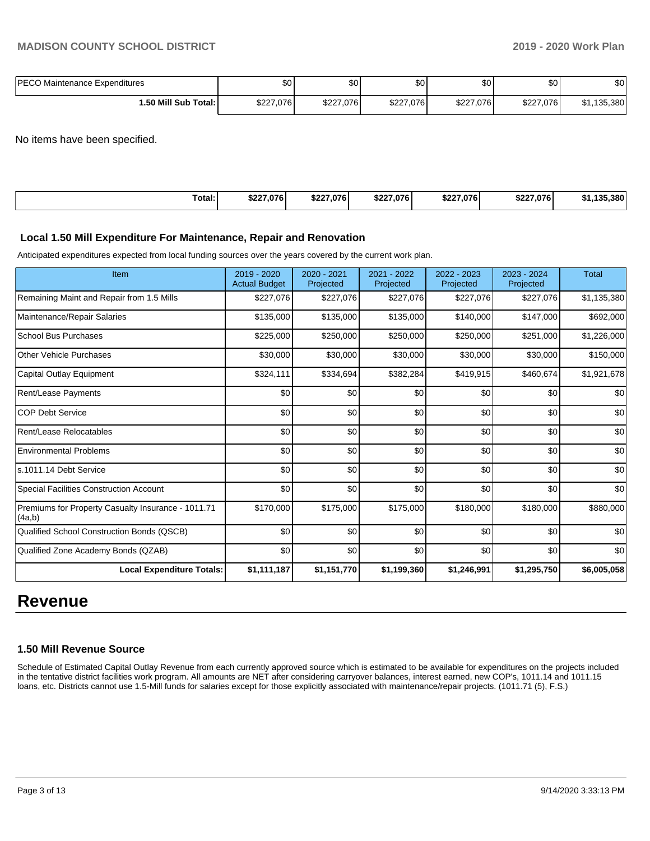| <b>PECO</b><br>) Maintenance Expenditures | \$0       | ΦΩ<br>Ψ   | ¢Λ.<br>υU | ሶሳ<br>ູບບ | \$0       | \$0                   |
|-------------------------------------------|-----------|-----------|-----------|-----------|-----------|-----------------------|
| 1.50 Mill Sub Total:                      | \$227,076 | \$227,076 | \$227.076 | \$227,076 | \$227.076 | 135.380<br>$A \cap F$ |

No items have been specified.

|  | Total:<br>. | \$227.076 | \$227.076<br>DZZ. | \$227.076 | \$227.076 | \$227.0761 | .<br>.380<br>י ה |
|--|-------------|-----------|-------------------|-----------|-----------|------------|------------------|
|--|-------------|-----------|-------------------|-----------|-----------|------------|------------------|

#### **Local 1.50 Mill Expenditure For Maintenance, Repair and Renovation**

Anticipated expenditures expected from local funding sources over the years covered by the current work plan.

| Item                                                         | 2019 - 2020<br><b>Actual Budget</b> | $2020 - 2021$<br>Projected | 2021 - 2022<br>Projected | 2022 - 2023<br>Projected | $2023 - 2024$<br>Projected | <b>Total</b> |
|--------------------------------------------------------------|-------------------------------------|----------------------------|--------------------------|--------------------------|----------------------------|--------------|
| Remaining Maint and Repair from 1.5 Mills                    | \$227,076                           | \$227,076                  | \$227,076                | \$227,076                | \$227,076                  | \$1,135,380  |
| Maintenance/Repair Salaries                                  | \$135,000                           | \$135,000                  | \$135,000                | \$140,000                | \$147,000                  | \$692,000    |
| <b>School Bus Purchases</b>                                  | \$225,000                           | \$250,000                  | \$250,000                | \$250,000                | \$251,000                  | \$1,226,000  |
| Other Vehicle Purchases                                      | \$30,000                            | \$30,000                   | \$30,000                 | \$30,000                 | \$30,000                   | \$150,000    |
| Capital Outlay Equipment                                     | \$324,111                           | \$334,694                  | \$382,284                | \$419,915                | \$460,674                  | \$1,921,678  |
| Rent/Lease Payments                                          | \$0                                 | \$0                        | \$0                      | \$0                      | \$0                        | \$0          |
| <b>COP Debt Service</b>                                      | \$0                                 | \$0                        | \$0                      | \$0                      | \$0                        | \$0          |
| Rent/Lease Relocatables                                      | \$0                                 | \$0                        | \$0                      | \$0                      | \$0                        | \$0          |
| <b>Environmental Problems</b>                                | \$0                                 | \$0                        | \$0                      | \$0                      | \$0                        | \$0          |
| s.1011.14 Debt Service                                       | \$0                                 | \$0                        | \$0                      | \$0                      | \$0                        | \$0          |
| Special Facilities Construction Account                      | \$0                                 | \$0                        | \$0                      | \$0                      | \$0                        | \$0          |
| Premiums for Property Casualty Insurance - 1011.71<br>(4a,b) | \$170,000                           | \$175,000                  | \$175,000                | \$180,000                | \$180,000                  | \$880,000    |
| Qualified School Construction Bonds (QSCB)                   | \$0                                 | \$0                        | \$0                      | \$0                      | \$0                        | \$0          |
| Qualified Zone Academy Bonds (QZAB)                          | \$0                                 | \$0                        | \$0                      | \$0                      | \$0                        | \$0          |
| <b>Local Expenditure Totals:</b>                             | \$1,111,187                         | \$1,151,770                | \$1,199,360              | \$1,246,991              | \$1,295,750                | \$6,005,058  |

## **Revenue**

#### **1.50 Mill Revenue Source**

Schedule of Estimated Capital Outlay Revenue from each currently approved source which is estimated to be available for expenditures on the projects included in the tentative district facilities work program. All amounts are NET after considering carryover balances, interest earned, new COP's, 1011.14 and 1011.15 loans, etc. Districts cannot use 1.5-Mill funds for salaries except for those explicitly associated with maintenance/repair projects. (1011.71 (5), F.S.)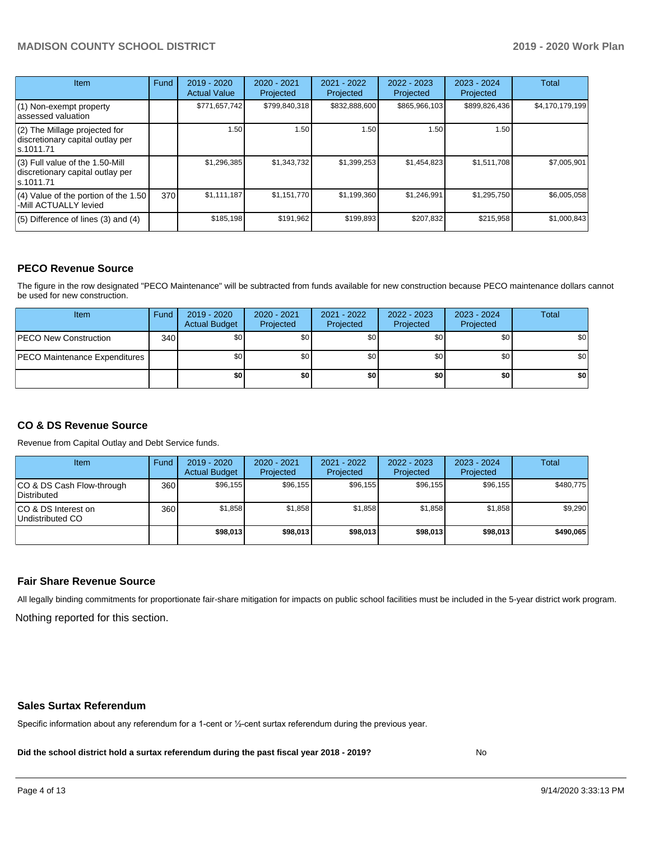### **MADISON COUNTY SCHOOL DISTRICT 2019 - 2020 Work Plan**

| <b>Item</b>                                                                       | Fund | 2019 - 2020<br><b>Actual Value</b> | 2020 - 2021<br>Projected | 2021 - 2022<br>Projected | 2022 - 2023<br>Projected | $2023 - 2024$<br>Projected | <b>Total</b>    |
|-----------------------------------------------------------------------------------|------|------------------------------------|--------------------------|--------------------------|--------------------------|----------------------------|-----------------|
| (1) Non-exempt property<br>lassessed valuation                                    |      | \$771,657,742                      | \$799,840,318            | \$832,888,600            | \$865,966,103            | \$899,826,436              | \$4,170,179,199 |
| $(2)$ The Millage projected for<br>discretionary capital outlay per<br>ls.1011.71 |      | 1.50                               | 1.50                     | 1.50                     | 1.50                     | 1.50                       |                 |
| (3) Full value of the 1.50-Mill<br>discretionary capital outlay per<br>ls.1011.71 |      | \$1,296,385                        | \$1,343,732              | \$1,399,253              | \$1,454,823              | \$1,511,708                | \$7,005,901     |
| (4) Value of the portion of the 1.50<br>-Mill ACTUALLY levied                     | 370  | \$1,111,187                        | \$1,151,770              | \$1,199,360              | \$1,246,991              | \$1,295,750                | \$6,005,058     |
| $(5)$ Difference of lines $(3)$ and $(4)$                                         |      | \$185,198                          | \$191,962                | \$199,893                | \$207,832                | \$215,958                  | \$1,000,843     |

#### **PECO Revenue Source**

The figure in the row designated "PECO Maintenance" will be subtracted from funds available for new construction because PECO maintenance dollars cannot be used for new construction.

| Item                                 | Fund | 2019 - 2020<br><b>Actual Budget</b> | 2020 - 2021<br>Projected | 2021 - 2022<br>Projected | $2022 - 2023$<br>Projected | 2023 - 2024<br>Projected | Total            |
|--------------------------------------|------|-------------------------------------|--------------------------|--------------------------|----------------------------|--------------------------|------------------|
| <b>PECO New Construction</b>         | 340  | \$0                                 | \$0 <sub>1</sub>         | \$0                      | \$0 <sub>0</sub>           | \$0 <sub>1</sub>         | \$0 <sub>1</sub> |
| <b>PECO Maintenance Expenditures</b> |      | ا 30                                | \$٥Ι                     | \$0                      | \$0 <sub>1</sub>           | \$0                      | \$0              |
|                                      |      | \$0                                 | \$0                      | \$0                      | \$0                        | \$0                      | \$0              |

#### **CO & DS Revenue Source**

Revenue from Capital Outlay and Debt Service funds.

| Item                                      | Fund | $2019 - 2020$<br><b>Actual Budget</b> | $2020 - 2021$<br>Projected | $2021 - 2022$<br>Projected | $2022 - 2023$<br>Projected | 2023 - 2024<br>Projected | Total     |
|-------------------------------------------|------|---------------------------------------|----------------------------|----------------------------|----------------------------|--------------------------|-----------|
| ICO & DS Cash Flow-through<br>Distributed | 360  | \$96.155                              | \$96,155                   | \$96.155                   | \$96.155                   | \$96.155                 | \$480.775 |
| ICO & DS Interest on<br>Undistributed CO  | 360  | \$1.858                               | \$1,858                    | \$1.858                    | \$1.858                    | \$1.858                  | \$9,290   |
|                                           |      | \$98,013                              | \$98,013                   | \$98.013                   | \$98,013                   | \$98,013                 | \$490.065 |

#### **Fair Share Revenue Source**

Nothing reported for this section. All legally binding commitments for proportionate fair-share mitigation for impacts on public school facilities must be included in the 5-year district work program.

#### **Sales Surtax Referendum**

Specific information about any referendum for a 1-cent or ½-cent surtax referendum during the previous year.

**Did the school district hold a surtax referendum during the past fiscal year 2018 - 2019?**

No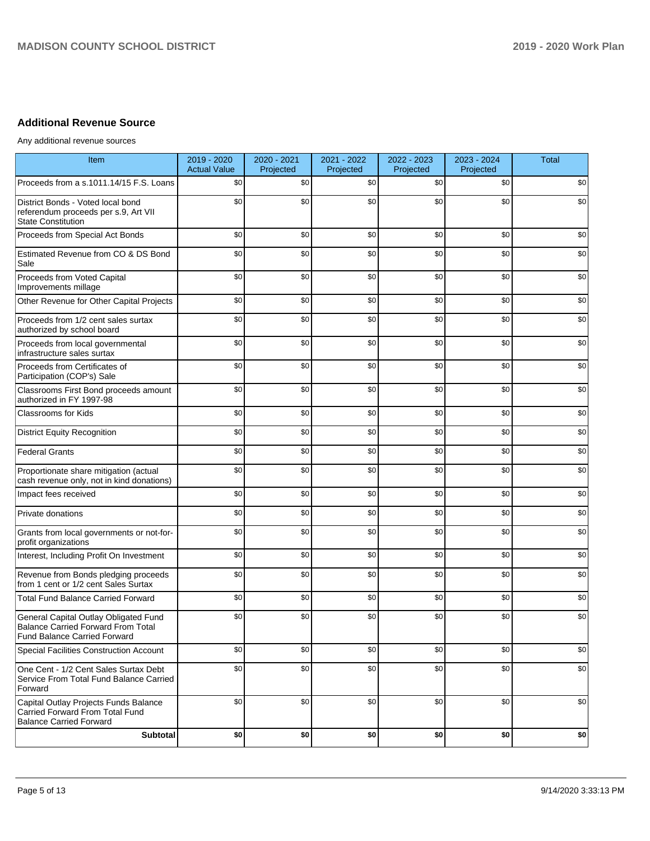### **Additional Revenue Source**

Any additional revenue sources

| Item                                                                                                               | 2019 - 2020<br><b>Actual Value</b> | 2020 - 2021<br>Projected | 2021 - 2022<br>Projected | 2022 - 2023<br>Projected | 2023 - 2024<br>Projected | <b>Total</b> |
|--------------------------------------------------------------------------------------------------------------------|------------------------------------|--------------------------|--------------------------|--------------------------|--------------------------|--------------|
| Proceeds from a s.1011.14/15 F.S. Loans                                                                            | \$0                                | \$0                      | \$0                      | \$0                      | \$0                      | \$0          |
| District Bonds - Voted local bond<br>referendum proceeds per s.9, Art VII<br><b>State Constitution</b>             | \$0                                | \$0                      | \$0                      | \$0                      | \$0                      | \$0          |
| Proceeds from Special Act Bonds                                                                                    | \$0                                | \$0                      | \$0                      | \$0                      | \$0                      | \$0          |
| Estimated Revenue from CO & DS Bond<br>Sale                                                                        | \$0                                | \$0                      | \$0                      | \$0                      | \$0                      | \$0          |
| Proceeds from Voted Capital<br>Improvements millage                                                                | \$0                                | \$0                      | \$0                      | \$0                      | \$0                      | \$0          |
| Other Revenue for Other Capital Projects                                                                           | \$0                                | \$0                      | \$0                      | \$0                      | \$0                      | \$0          |
| Proceeds from 1/2 cent sales surtax<br>authorized by school board                                                  | \$0                                | \$0                      | \$0                      | \$0                      | \$0                      | \$0          |
| Proceeds from local governmental<br>infrastructure sales surtax                                                    | \$0                                | \$0                      | \$0                      | \$0                      | \$0                      | \$0          |
| Proceeds from Certificates of<br>Participation (COP's) Sale                                                        | \$0                                | \$0                      | \$0                      | \$0                      | \$0                      | \$0          |
| Classrooms First Bond proceeds amount<br>authorized in FY 1997-98                                                  | \$0                                | \$0                      | \$0                      | \$0                      | \$0                      | \$0          |
| <b>Classrooms for Kids</b>                                                                                         | \$0                                | \$0                      | \$0                      | \$0                      | \$0                      | \$0          |
| <b>District Equity Recognition</b>                                                                                 | \$0                                | \$0                      | \$0                      | \$0                      | \$0                      | \$0          |
| <b>Federal Grants</b>                                                                                              | \$0                                | \$0                      | \$0                      | \$0                      | \$0                      | \$0          |
| Proportionate share mitigation (actual<br>cash revenue only, not in kind donations)                                | \$0                                | \$0                      | \$0                      | \$0                      | \$0                      | \$0          |
| Impact fees received                                                                                               | \$0                                | \$0                      | \$0                      | \$0                      | \$0                      | \$0          |
| Private donations                                                                                                  | \$0                                | \$0                      | \$0                      | \$0                      | \$0                      | \$0          |
| Grants from local governments or not-for-<br>profit organizations                                                  | \$0                                | \$0                      | \$0                      | \$0                      | \$0                      | \$0          |
| Interest, Including Profit On Investment                                                                           | \$0                                | \$0                      | \$0                      | \$0                      | \$0                      | \$0          |
| Revenue from Bonds pledging proceeds<br>from 1 cent or 1/2 cent Sales Surtax                                       | \$0                                | \$0                      | \$0                      | \$0                      | \$0                      | \$0          |
| <b>Total Fund Balance Carried Forward</b>                                                                          | \$0                                | \$0                      | \$0                      | \$0                      | \$0                      | \$0          |
| General Capital Outlay Obligated Fund<br><b>Balance Carried Forward From Total</b><br>Fund Balance Carried Forward | \$0                                | \$0                      | \$0                      | \$0                      | \$0                      | \$0          |
| <b>Special Facilities Construction Account</b>                                                                     | \$0                                | \$0                      | \$0                      | \$0                      | \$0                      | \$0          |
| One Cent - 1/2 Cent Sales Surtax Debt<br>Service From Total Fund Balance Carried<br>Forward                        | \$0                                | \$0                      | \$0                      | \$0                      | \$0                      | \$0          |
| Capital Outlay Projects Funds Balance<br>Carried Forward From Total Fund<br><b>Balance Carried Forward</b>         | \$0                                | \$0                      | \$0                      | \$0                      | \$0                      | \$0          |
| Subtotal                                                                                                           | \$0                                | \$0                      | \$0                      | \$0                      | \$0                      | \$0          |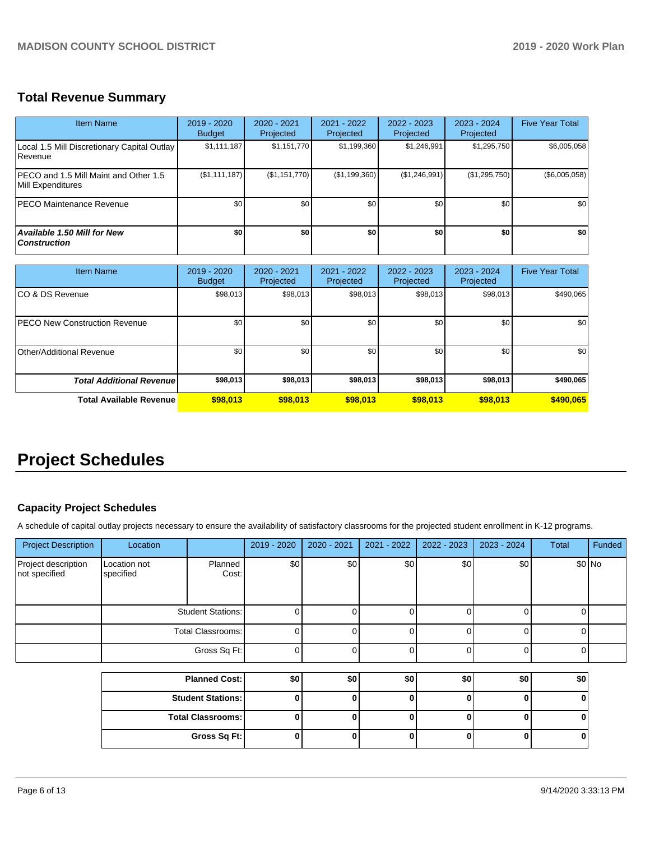## **Total Revenue Summary**

| Item Name                                                   | 2019 - 2020<br><b>Budget</b> | $2020 - 2021$<br>Projected | 2021 - 2022<br>Projected | $2022 - 2023$<br>Projected | $2023 - 2024$<br>Projected | <b>Five Year Total</b> |
|-------------------------------------------------------------|------------------------------|----------------------------|--------------------------|----------------------------|----------------------------|------------------------|
| Local 1.5 Mill Discretionary Capital Outlay<br>l Revenue    | \$1,111,187                  | \$1,151,770                | \$1,199,360              | \$1,246,991                | \$1,295,750                | \$6,005,058            |
| IPECO and 1.5 Mill Maint and Other 1.5<br>Mill Expenditures | (\$1,111,187)                | (\$1,151,770)              | (\$1,199,360)            | (\$1,246,991)              | (\$1,295,750)              | $(\$6,005,058)$        |
| <b>PECO Maintenance Revenue</b>                             | \$0                          | \$0                        | \$0                      | \$0                        | \$0                        | \$0                    |
| Available 1.50 Mill for New<br><b>Construction</b>          | \$0                          | \$O                        | \$0                      | \$0                        | \$0                        | \$0                    |

| <b>Item Name</b>                      | 2019 - 2020<br><b>Budget</b> | 2020 - 2021<br>Projected | 2021 - 2022<br>Projected | 2022 - 2023<br>Projected | 2023 - 2024<br>Projected | <b>Five Year Total</b> |
|---------------------------------------|------------------------------|--------------------------|--------------------------|--------------------------|--------------------------|------------------------|
| ICO & DS Revenue                      | \$98,013                     | \$98,013                 | \$98,013                 | \$98,013                 | \$98,013                 | \$490,065              |
| <b>IPECO New Construction Revenue</b> | \$0                          | \$0 <sub>1</sub>         | \$0                      | \$0                      | \$0                      | \$0                    |
| Other/Additional Revenue              | \$0 <sub>1</sub>             | \$0 <sub>1</sub>         | \$0                      | \$0                      | \$0                      | \$0                    |
| <b>Total Additional Revenuel</b>      | \$98,013                     | \$98,013                 | \$98,013                 | \$98,013                 | \$98,013                 | \$490,065              |
| Total Available Revenue               | \$98,013                     | \$98,013                 | \$98,013                 | \$98,013                 | \$98,013                 | \$490,065              |

# **Project Schedules**

#### **Capacity Project Schedules**

A schedule of capital outlay projects necessary to ensure the availability of satisfactory classrooms for the projected student enrollment in K-12 programs.

| <b>Project Description</b>           | Location                  |                                        | $2019 - 2020$ | 2020 - 2021 | $2021 - 2022$ | $2022 - 2023$ | 2023 - 2024 | <b>Total</b> | Funded  |
|--------------------------------------|---------------------------|----------------------------------------|---------------|-------------|---------------|---------------|-------------|--------------|---------|
| Project description<br>not specified | Location not<br>specified | Planned<br>Cost:                       | \$0           | \$0         | \$0           | \$0           | \$0         |              | $$0$ No |
|                                      | <b>Student Stations:</b>  |                                        |               |             |               |               | 0           |              |         |
|                                      |                           | Total Classrooms:                      |               |             |               |               | 0           |              |         |
|                                      |                           | Gross Sq Ft:                           |               |             |               |               | 0           |              |         |
|                                      |                           |                                        |               |             |               |               |             |              |         |
|                                      |                           | $\mathbf{m}$ $\mathbf{m}$ $\mathbf{m}$ | $\sim$        | $\sim$      | $\sim$        | $\sim$        | $\sim$      | $\sim$       |         |

| <b>Planned Cost:</b>     | \$0 | \$0 | \$0 | \$0 | \$0 | ا 30 |
|--------------------------|-----|-----|-----|-----|-----|------|
| <b>Student Stations:</b> |     |     |     |     |     |      |
| <b>Total Classrooms:</b> |     |     |     |     |     |      |
| Gross Sq Ft:             |     |     |     |     |     |      |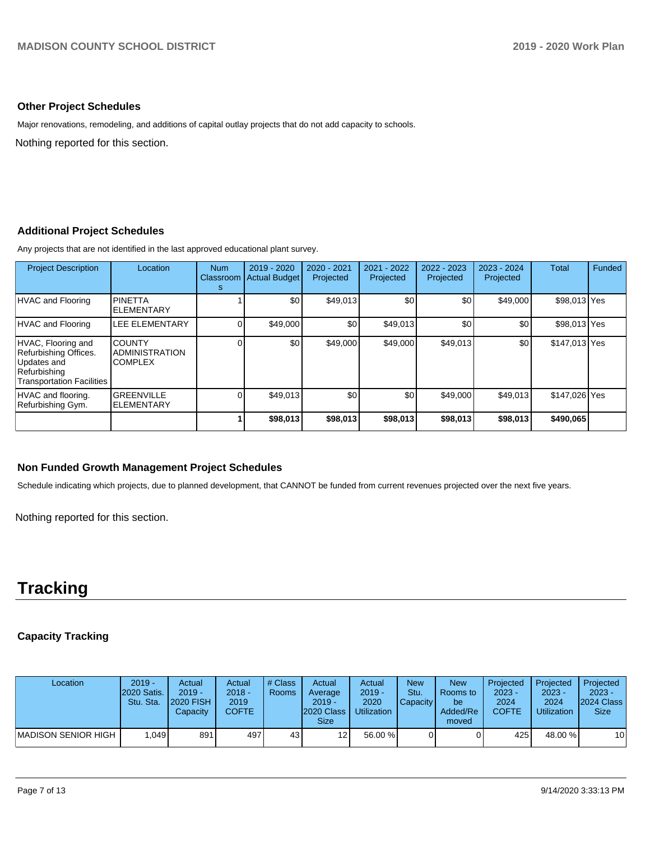#### **Other Project Schedules**

Major renovations, remodeling, and additions of capital outlay projects that do not add capacity to schools.

Nothing reported for this section.

### **Additional Project Schedules**

Any projects that are not identified in the last approved educational plant survey.

| <b>Project Description</b>                                                                                            | Location                                                 | <b>Num</b><br>Classroom<br>s | 2019 - 2020<br><b>Actual Budget</b> | 2020 - 2021<br>Projected | 2021 - 2022<br>Projected | $2022 - 2023$<br>Projected | 2023 - 2024<br>Projected | Total         | Funded |
|-----------------------------------------------------------------------------------------------------------------------|----------------------------------------------------------|------------------------------|-------------------------------------|--------------------------|--------------------------|----------------------------|--------------------------|---------------|--------|
| HVAC and Flooring                                                                                                     | <b>PINETTA</b><br><b>ELEMENTARY</b>                      |                              | \$0                                 | \$49,013                 | \$0                      | \$0                        | \$49,000                 | \$98,013 Yes  |        |
| HVAC and Flooring                                                                                                     | LEE ELEMENTARY                                           |                              | \$49,000                            | \$0                      | \$49,013                 | \$0                        | \$0                      | \$98,013 Yes  |        |
| HVAC, Flooring and<br>Refurbishing Offices.<br><b>Updates and</b><br>Refurbishing<br><b>Transportation Facilities</b> | <b>COUNTY</b><br><b>ADMINISTRATION</b><br><b>COMPLEX</b> |                              | \$0                                 | \$49,000                 | \$49,000                 | \$49.013                   | \$0                      | \$147,013 Yes |        |
| HVAC and flooring.<br>Refurbishing Gym.                                                                               | <b>GREENVILLE</b><br><b>ELEMENTARY</b>                   |                              | \$49,013                            | \$0                      | \$0                      | \$49,000                   | \$49.013                 | \$147,026 Yes |        |
|                                                                                                                       |                                                          |                              | \$98,013                            | \$98,013                 | \$98,013                 | \$98,013                   | \$98,013                 | \$490,065     |        |

#### **Non Funded Growth Management Project Schedules**

Schedule indicating which projects, due to planned development, that CANNOT be funded from current revenues projected over the next five years.

Nothing reported for this section.

## **Tracking**

#### **Capacity Tracking**

| Location             | $2019 -$<br>2020 Satis.<br>Stu. Sta. | Actual<br>$2019 -$<br><b>2020 FISH</b><br>Capacity | Actual<br>$2018 -$<br>2019<br><b>COFTE</b> | # Class<br><b>Rooms</b> | Actual<br>Average<br>$2019 -$<br>2020 Class<br><b>Size</b> | Actual<br>$2019 -$<br>2020<br>Utilization | <b>New</b><br>Stu.<br>Capacity <sup>1</sup> | <b>New</b><br>Rooms to<br>be<br>Added/Re<br>moved | Projected<br>$2023 -$<br>2024<br><b>COFTE</b> | Projected<br>$2023 -$<br>2024<br>Utilization | Projected<br>$2023 -$<br><b>2024 Class</b><br><b>Size</b> |
|----------------------|--------------------------------------|----------------------------------------------------|--------------------------------------------|-------------------------|------------------------------------------------------------|-------------------------------------------|---------------------------------------------|---------------------------------------------------|-----------------------------------------------|----------------------------------------------|-----------------------------------------------------------|
| IMADISON SENIOR HIGH | .049                                 | 891                                                | 497                                        | 43                      | 121                                                        | 56.00 %                                   |                                             |                                                   | 425                                           | 48.00 %                                      | 10                                                        |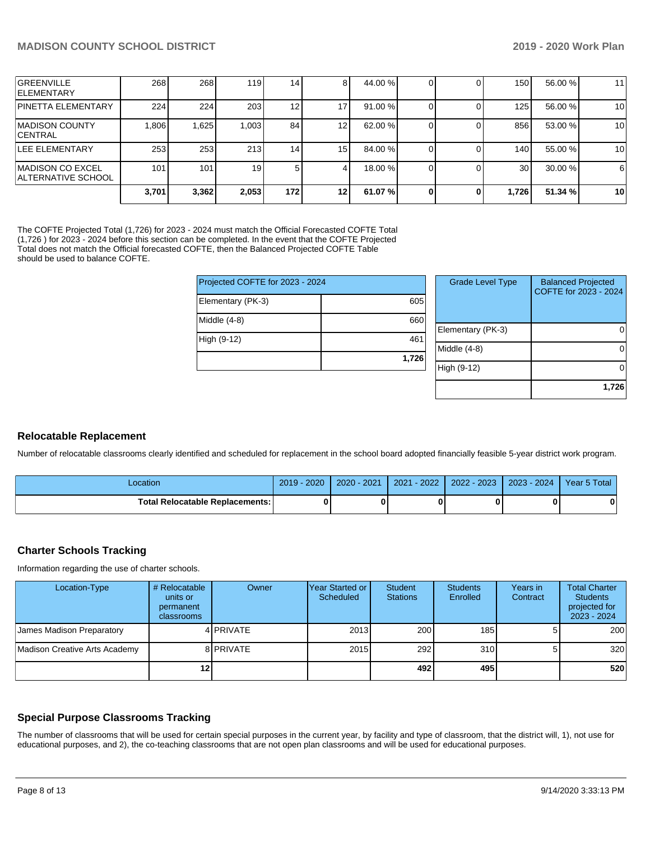| <b>GREENVILLE</b><br><b>IELEMENTARY</b>  | 268   | 268   | 119   | 14               |    | 44.00 % |  | 150              | 56.00 % | 11 |
|------------------------------------------|-------|-------|-------|------------------|----|---------|--|------------------|---------|----|
| <b>PINETTA ELEMENTARY</b>                | 224   | 224   | 203   | 12 <sub>l</sub>  | 17 | 91.00 % |  | 125 <sub>1</sub> | 56.00 % | 10 |
| IMADISON COUNTY<br>ICENTRAL              | .806  | 1,625 | 1,003 | 84               | 12 | 62.00 % |  | 856              | 53.00 % | 10 |
| ILEE ELEMENTARY                          | 253   | 253   | 213   | 14               | 15 | 84.00 % |  | 140              | 55.00 % | 10 |
| IMADISON CO EXCEL<br> ALTERNATIVE SCHOOL | 101   | 101   | 19    | 5                |    | 18.00 % |  | 30               | 30.00 % | 6  |
|                                          | 3.701 | 3,362 | 2,053 | 172 <sub>l</sub> | 12 | 61.07%  |  | 1,726            | 51.34 % | 10 |

The COFTE Projected Total (1,726) for 2023 - 2024 must match the Official Forecasted COFTE Total (1,726 ) for 2023 - 2024 before this section can be completed. In the event that the COFTE Projected Total does not match the Official forecasted COFTE, then the Balanced Projected COFTE Table should be used to balance COFTE.

| Projected COFTE for 2023 - 2024 |       |
|---------------------------------|-------|
| Elementary (PK-3)               | 605   |
| Middle (4-8)                    | 660   |
| High (9-12)                     | 461   |
|                                 | 1,726 |

| <b>Grade Level Type</b> | <b>Balanced Projected</b><br>COFTE for 2023 - 2024 |
|-------------------------|----------------------------------------------------|
| Elementary (PK-3)       |                                                    |
| Middle $(4-8)$          |                                                    |
| High (9-12)             |                                                    |
|                         | 1,726                                              |

#### **Relocatable Replacement**

Number of relocatable classrooms clearly identified and scheduled for replacement in the school board adopted financially feasible 5-year district work program.

| -ocation                          | $2019 - 2020$ | $2020 - 2021$ | $2021 - 2022$ | 2022 - 2023 | 2023 - 2024 | Year 5 Total |
|-----------------------------------|---------------|---------------|---------------|-------------|-------------|--------------|
| Total Relocatable Replacements: I |               |               |               |             |             |              |

#### **Charter Schools Tracking**

Information regarding the use of charter schools.

| Location-Type                 | # Relocatable<br>units or<br>permanent<br><b>classrooms</b> | Owner     | Year Started or I<br>Scheduled | <b>Student</b><br><b>Stations</b> | <b>Students</b><br>Enrolled | Years in<br>Contract | <b>Total Charter</b><br><b>Students</b><br>projected for<br>2023 - 2024 |
|-------------------------------|-------------------------------------------------------------|-----------|--------------------------------|-----------------------------------|-----------------------------|----------------------|-------------------------------------------------------------------------|
| James Madison Preparatory     |                                                             | 4 PRIVATE | 2013                           | 200                               | 185                         |                      | 200                                                                     |
| Madison Creative Arts Academy |                                                             | 8 PRIVATE | 2015                           | 292                               | 310                         |                      | 320                                                                     |
|                               | 12                                                          |           |                                | 492                               | 495                         |                      | 520                                                                     |

#### **Special Purpose Classrooms Tracking**

The number of classrooms that will be used for certain special purposes in the current year, by facility and type of classroom, that the district will, 1), not use for educational purposes, and 2), the co-teaching classrooms that are not open plan classrooms and will be used for educational purposes.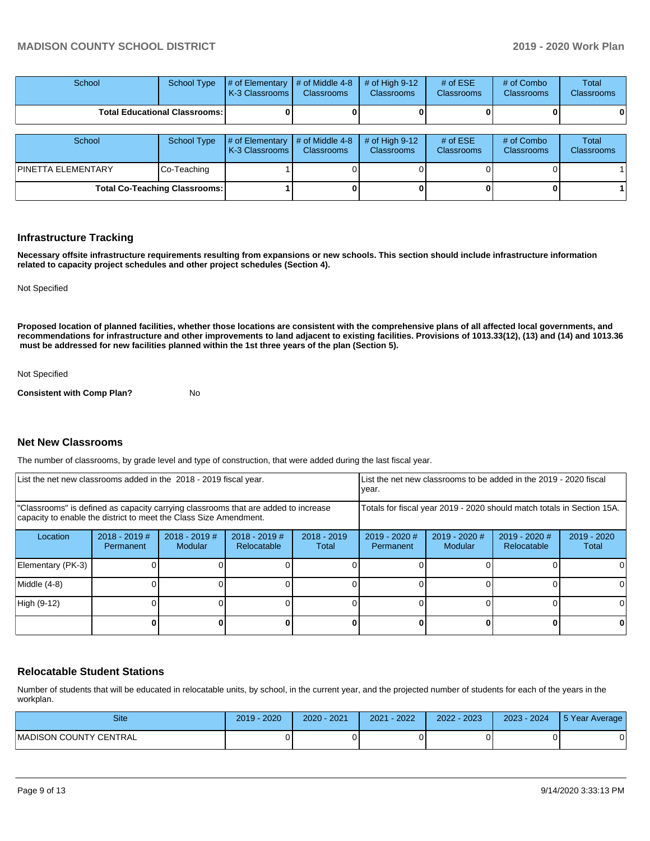#### **MADISON COUNTY SCHOOL DISTRICT 2019 - 2020 Work Plan**

| School |                                      | School Type $\left  \frac{1}{2}$ of Elementary $\left  \frac{1}{2}$ of Middle 4-8 $\left  \frac{1}{2}$ of High 9-12<br><b>K-3 Classrooms I</b> | <b>Classrooms</b> | <b>Classrooms</b> | # of $ESE$<br><b>Classrooms</b> | # of Combo<br><b>Classrooms</b> | Total<br><b>Classrooms</b> |
|--------|--------------------------------------|------------------------------------------------------------------------------------------------------------------------------------------------|-------------------|-------------------|---------------------------------|---------------------------------|----------------------------|
|        | <b>Total Educational Classrooms:</b> |                                                                                                                                                |                   |                   |                                 |                                 | 01                         |

| School                    | School Type                          | $\parallel$ # of Elementary $\parallel$ # of Middle 4-8 $\parallel$<br><b>K-3 Classrooms</b> | <b>Classrooms</b> | $\#$ of High 9-12<br><b>Classrooms</b> | # of $ESE$<br><b>Classrooms</b> | # of Combo<br><b>Classrooms</b> | Total<br><b>Classrooms</b> |
|---------------------------|--------------------------------------|----------------------------------------------------------------------------------------------|-------------------|----------------------------------------|---------------------------------|---------------------------------|----------------------------|
| <b>PINETTA ELEMENTARY</b> | Co-Teaching                          |                                                                                              |                   |                                        |                                 |                                 |                            |
|                           | <b>Total Co-Teaching Classrooms:</b> |                                                                                              |                   |                                        |                                 | 01                              |                            |

#### **Infrastructure Tracking**

**Necessary offsite infrastructure requirements resulting from expansions or new schools. This section should include infrastructure information related to capacity project schedules and other project schedules (Section 4).** 

Not Specified

**Proposed location of planned facilities, whether those locations are consistent with the comprehensive plans of all affected local governments, and recommendations for infrastructure and other improvements to land adjacent to existing facilities. Provisions of 1013.33(12), (13) and (14) and 1013.36 must be addressed for new facilities planned within the 1st three years of the plan (Section 5).** 

Not Specified

**Consistent with Comp Plan?** No

#### **Net New Classrooms**

The number of classrooms, by grade level and type of construction, that were added during the last fiscal year.

| List the net new classrooms added in the 2018 - 2019 fiscal year.                                                                                       |                              |                            | List the net new classrooms to be added in the 2019 - 2020 fiscal<br>year. |                        |                                     |                            |                                |                        |
|---------------------------------------------------------------------------------------------------------------------------------------------------------|------------------------------|----------------------------|----------------------------------------------------------------------------|------------------------|-------------------------------------|----------------------------|--------------------------------|------------------------|
| "Classrooms" is defined as capacity carrying classrooms that are added to increase<br>capacity to enable the district to meet the Class Size Amendment. |                              |                            | Totals for fiscal year 2019 - 2020 should match totals in Section 15A.     |                        |                                     |                            |                                |                        |
| Location                                                                                                                                                | $2018 - 2019$ #<br>Permanent | $2018 - 2019$ #<br>Modular | $2018 - 2019$ #<br>Relocatable                                             | $2018 - 2019$<br>Total | $2019 - 2020$ #<br><b>Permanent</b> | $2019 - 2020$ #<br>Modular | $2019 - 2020$ #<br>Relocatable | $2019 - 2020$<br>Total |
| Elementary (PK-3)                                                                                                                                       |                              |                            |                                                                            |                        |                                     |                            |                                |                        |
| Middle (4-8)                                                                                                                                            |                              |                            |                                                                            |                        |                                     |                            |                                |                        |
| High (9-12)                                                                                                                                             |                              |                            |                                                                            |                        |                                     |                            |                                |                        |
|                                                                                                                                                         |                              |                            |                                                                            |                        |                                     |                            |                                |                        |

#### **Relocatable Student Stations**

Number of students that will be educated in relocatable units, by school, in the current year, and the projected number of students for each of the years in the workplan.

| Site                           | 2020<br>2019 | 2021<br>$2020 -$ | $-2022$<br>2021 | 2022 - 2023 | 2023 - 2024 | 5 Year Average |
|--------------------------------|--------------|------------------|-----------------|-------------|-------------|----------------|
| <b>IMADISON COUNTY CENTRAL</b> |              |                  |                 |             |             |                |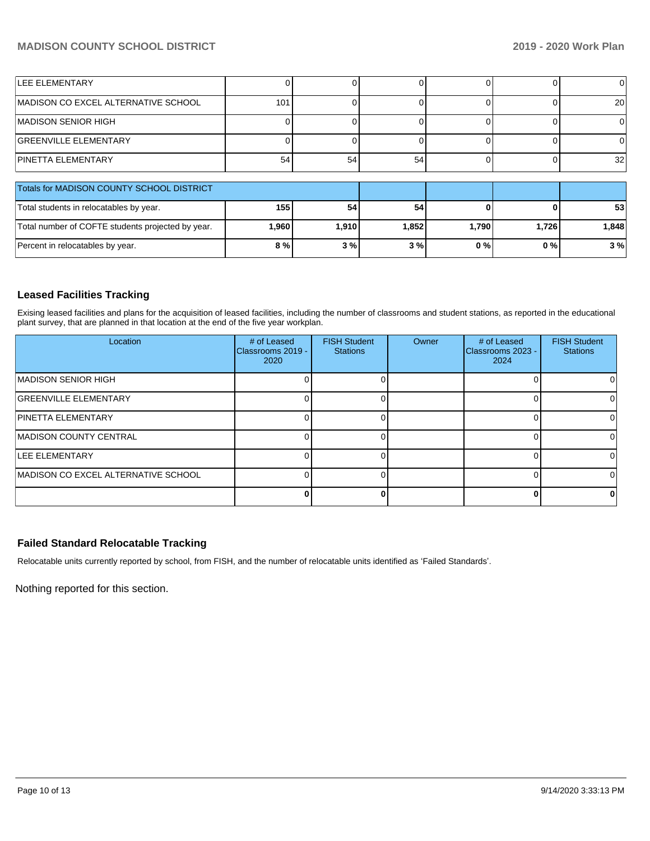#### **MADISON COUNTY SCHOOL DISTRICT 2019 - 2020 Work Plan**

| <b>ILEE ELEMENTARY</b>                            |       |       |       |       |       | 01              |
|---------------------------------------------------|-------|-------|-------|-------|-------|-----------------|
| IMADISON CO EXCEL ALTERNATIVE SCHOOL              | 101   |       |       |       |       | 20 <sub>1</sub> |
| IMADISON SENIOR HIGH                              |       |       |       |       |       | 0               |
| <b>GREENVILLE ELEMENTARY</b>                      |       |       |       |       |       | 0               |
| <b>PINETTA ELEMENTARY</b>                         | 54    | 54    | 54    |       |       | 32 <sub>1</sub> |
| <b>Totals for MADISON COUNTY SCHOOL DISTRICT</b>  |       |       |       |       |       |                 |
| Total students in relocatables by year.           | 155   | 54    | 54    |       |       | 53              |
| Total number of COFTE students projected by year. | 1,960 | 1,910 | 1,852 | 1,790 | 1,726 | 1,848           |
| Percent in relocatables by year.                  | 8%    | 3%    | 3%    | 0%    | $0\%$ | 3%              |

#### **Leased Facilities Tracking**

Exising leased facilities and plans for the acquisition of leased facilities, including the number of classrooms and student stations, as reported in the educational plant survey, that are planned in that location at the end of the five year workplan.

| Location                            | # of Leased<br>Classrooms 2019 -<br>2020 | <b>FISH Student</b><br><b>Stations</b> | Owner | # of Leased<br>Classrooms 2023 -<br>2024 | <b>FISH Student</b><br><b>Stations</b> |
|-------------------------------------|------------------------------------------|----------------------------------------|-------|------------------------------------------|----------------------------------------|
| <b>IMADISON SENIOR HIGH</b>         |                                          |                                        |       |                                          |                                        |
| <b>GREENVILLE ELEMENTARY</b>        |                                          |                                        |       |                                          |                                        |
| <b>PINETTA ELEMENTARY</b>           |                                          |                                        |       |                                          |                                        |
| <b>MADISON COUNTY CENTRAL</b>       |                                          |                                        |       |                                          |                                        |
| <b>ILEE ELEMENTARY</b>              |                                          |                                        |       |                                          |                                        |
| MADISON CO EXCEL ALTERNATIVE SCHOOL |                                          |                                        |       |                                          |                                        |
|                                     |                                          |                                        |       |                                          |                                        |

#### **Failed Standard Relocatable Tracking**

Relocatable units currently reported by school, from FISH, and the number of relocatable units identified as 'Failed Standards'.

Nothing reported for this section.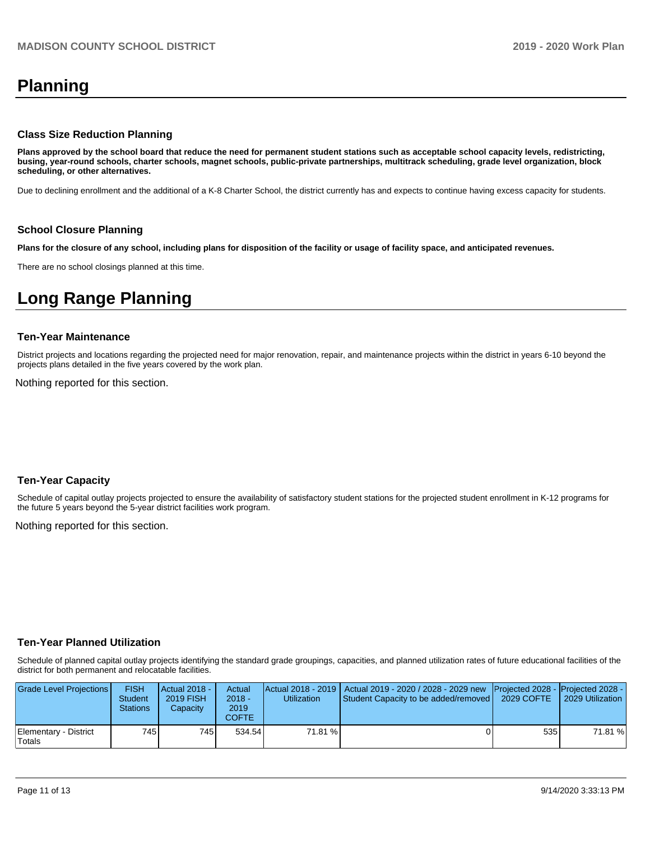# **Planning**

#### **Class Size Reduction Planning**

**Plans approved by the school board that reduce the need for permanent student stations such as acceptable school capacity levels, redistricting, busing, year-round schools, charter schools, magnet schools, public-private partnerships, multitrack scheduling, grade level organization, block scheduling, or other alternatives.**

Due to declining enrollment and the additional of a K-8 Charter School, the district currently has and expects to continue having excess capacity for students.

#### **School Closure Planning**

**Plans for the closure of any school, including plans for disposition of the facility or usage of facility space, and anticipated revenues.** 

There are no school closings planned at this time.

## **Long Range Planning**

#### **Ten-Year Maintenance**

District projects and locations regarding the projected need for major renovation, repair, and maintenance projects within the district in years 6-10 beyond the projects plans detailed in the five years covered by the work plan.

Nothing reported for this section.

#### **Ten-Year Capacity**

Schedule of capital outlay projects projected to ensure the availability of satisfactory student stations for the projected student enrollment in K-12 programs for the future 5 years beyond the 5-year district facilities work program.

Nothing reported for this section.

#### **Ten-Year Planned Utilization**

Schedule of planned capital outlay projects identifying the standard grade groupings, capacities, and planned utilization rates of future educational facilities of the district for both permanent and relocatable facilities.

| Grade Level Projections         | <b>FISH</b><br><b>Student</b><br><b>Stations</b> | Actual 2018 -<br>2019 FISH<br>Capacity | Actual<br>$2018 -$<br>2019<br>COFTE | Utilization | Actual 2018 - 2019   Actual 2019 - 2020 / 2028 - 2029 new   Projected 2028 -   Projected 2028 -<br>Student Capacity to be added/removed | 2029 COFTE | 2029 Utilization |
|---------------------------------|--------------------------------------------------|----------------------------------------|-------------------------------------|-------------|-----------------------------------------------------------------------------------------------------------------------------------------|------------|------------------|
| Elementary - District<br>Totals | 7451                                             | 745 I                                  | 534.54                              | 71.81 %     |                                                                                                                                         | 535        | 71.81 %          |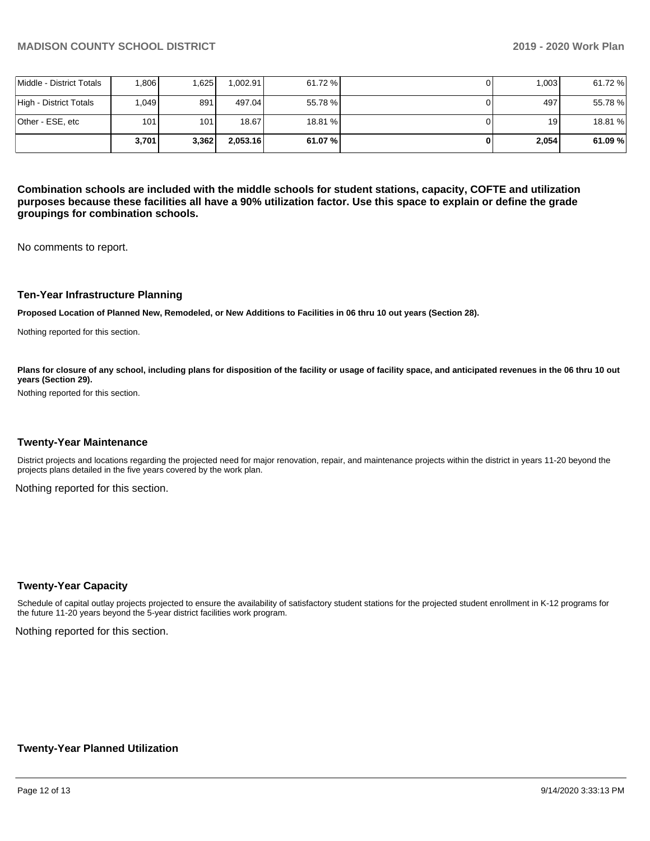|                          | 3,701 | 3,362 | 2.053.16 | 61.07%  | 2,054           | 61.09%  |
|--------------------------|-------|-------|----------|---------|-----------------|---------|
| Other - ESE, etc         | 101   | 101 I | 18.67    | 18.81 % | 19 <sup>1</sup> | 18.81 % |
| High - District Totals   | 1.049 | 891   | 497.04   | 55.78 % | 497             | 55.78 % |
| Middle - District Totals | .806  | .625  | 1.002.91 | 61.72 % | 1,003           | 61.72%  |

**Combination schools are included with the middle schools for student stations, capacity, COFTE and utilization purposes because these facilities all have a 90% utilization factor. Use this space to explain or define the grade groupings for combination schools.** 

No comments to report.

#### **Ten-Year Infrastructure Planning**

**Proposed Location of Planned New, Remodeled, or New Additions to Facilities in 06 thru 10 out years (Section 28).**

Nothing reported for this section.

Plans for closure of any school, including plans for disposition of the facility or usage of facility space, and anticipated revenues in the 06 thru 10 out **years (Section 29).**

Nothing reported for this section.

#### **Twenty-Year Maintenance**

District projects and locations regarding the projected need for major renovation, repair, and maintenance projects within the district in years 11-20 beyond the projects plans detailed in the five years covered by the work plan.

Nothing reported for this section.

#### **Twenty-Year Capacity**

Schedule of capital outlay projects projected to ensure the availability of satisfactory student stations for the projected student enrollment in K-12 programs for the future 11-20 years beyond the 5-year district facilities work program.

Nothing reported for this section.

#### **Twenty-Year Planned Utilization**